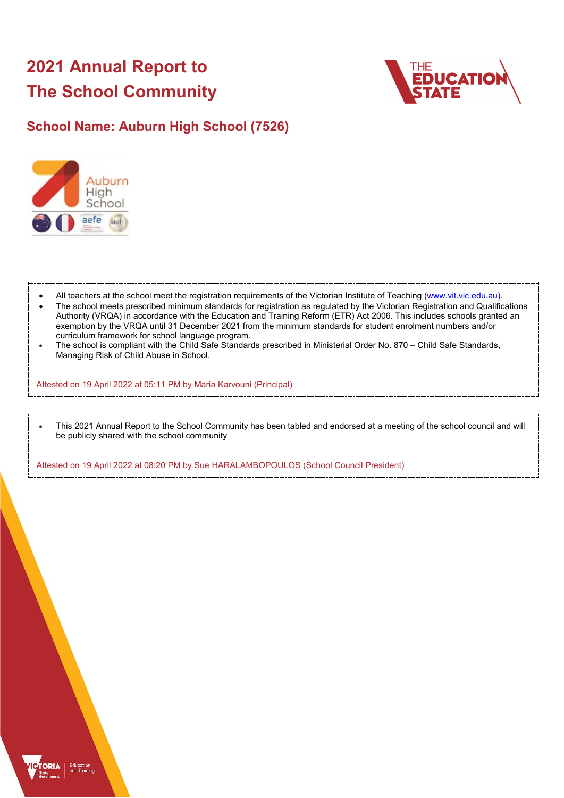# **2021 Annual Report to The School Community**



# **School Name: Auburn High School (7526)**



- All teachers at the school meet the registration requirements of the Victorian Institute of Teaching [\(www.vit.vic.edu.au\)](https://www.vit.vic.edu.au/).
- The school meets prescribed minimum standards for registration as regulated by the Victorian Registration and Qualifications Authority (VRQA) in accordance with the Education and Training Reform (ETR) Act 2006. This includes schools granted an exemption by the VRQA until 31 December 2021 from the minimum standards for student enrolment numbers and/or curriculum framework for school language program.
- The school is compliant with the Child Safe Standards prescribed in Ministerial Order No. 870 Child Safe Standards, Managing Risk of Child Abuse in School.

Attested on 19 April 2022 at 05:11 PM by Maria Karvouni (Principal)

• This 2021 Annual Report to the School Community has been tabled and endorsed at a meeting of the school council and will be publicly shared with the school community

Attested on 19 April 2022 at 08:20 PM by Sue HARALAMBOPOULOS (School Council President)

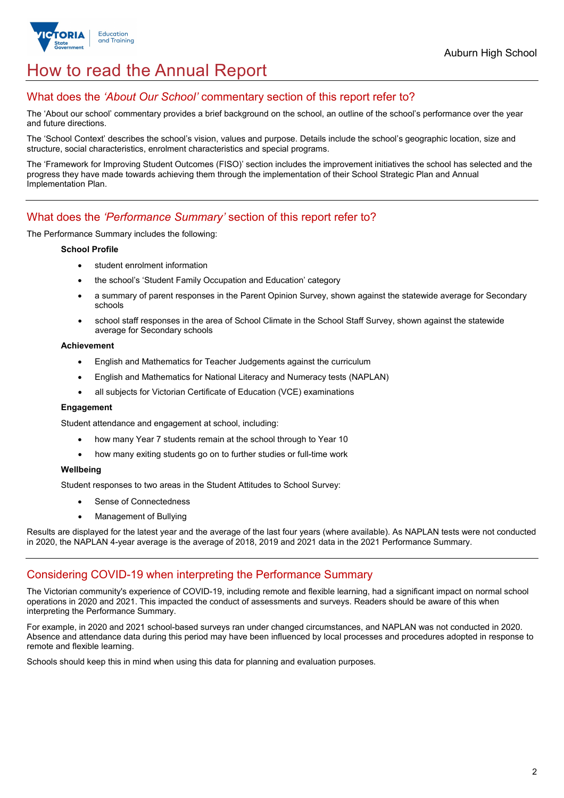

# How to read the Annual Report

## What does the *'About Our School'* commentary section of this report refer to?

The 'About our school' commentary provides a brief background on the school, an outline of the school's performance over the year and future directions.

The 'School Context' describes the school's vision, values and purpose. Details include the school's geographic location, size and structure, social characteristics, enrolment characteristics and special programs.

The 'Framework for Improving Student Outcomes (FISO)' section includes the improvement initiatives the school has selected and the progress they have made towards achieving them through the implementation of their School Strategic Plan and Annual Implementation Plan.

## What does the *'Performance Summary'* section of this report refer to?

The Performance Summary includes the following:

#### **School Profile**

- student enrolment information
- the school's 'Student Family Occupation and Education' category
- a summary of parent responses in the Parent Opinion Survey, shown against the statewide average for Secondary schools
- school staff responses in the area of School Climate in the School Staff Survey, shown against the statewide average for Secondary schools

#### **Achievement**

- English and Mathematics for Teacher Judgements against the curriculum
- English and Mathematics for National Literacy and Numeracy tests (NAPLAN)
- all subjects for Victorian Certificate of Education (VCE) examinations

#### **Engagement**

Student attendance and engagement at school, including:

- how many Year 7 students remain at the school through to Year 10
- how many exiting students go on to further studies or full-time work

#### **Wellbeing**

Student responses to two areas in the Student Attitudes to School Survey:

- Sense of Connectedness
- Management of Bullying

Results are displayed for the latest year and the average of the last four years (where available). As NAPLAN tests were not conducted in 2020, the NAPLAN 4-year average is the average of 2018, 2019 and 2021 data in the 2021 Performance Summary.

### Considering COVID-19 when interpreting the Performance Summary

The Victorian community's experience of COVID-19, including remote and flexible learning, had a significant impact on normal school operations in 2020 and 2021. This impacted the conduct of assessments and surveys. Readers should be aware of this when interpreting the Performance Summary.

For example, in 2020 and 2021 school-based surveys ran under changed circumstances, and NAPLAN was not conducted in 2020. Absence and attendance data during this period may have been influenced by local processes and procedures adopted in response to remote and flexible learning.

Schools should keep this in mind when using this data for planning and evaluation purposes.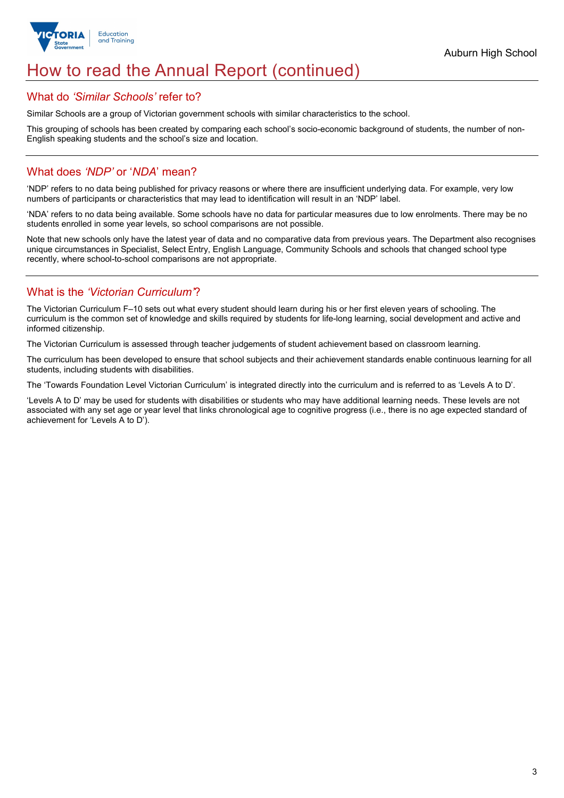

# How to read the Annual Report (continued)

### What do *'Similar Schools'* refer to?

Similar Schools are a group of Victorian government schools with similar characteristics to the school.

This grouping of schools has been created by comparing each school's socio-economic background of students, the number of non-English speaking students and the school's size and location.

## What does *'NDP'* or '*NDA*' mean?

'NDP' refers to no data being published for privacy reasons or where there are insufficient underlying data. For example, very low numbers of participants or characteristics that may lead to identification will result in an 'NDP' label.

'NDA' refers to no data being available. Some schools have no data for particular measures due to low enrolments. There may be no students enrolled in some year levels, so school comparisons are not possible.

Note that new schools only have the latest year of data and no comparative data from previous years. The Department also recognises unique circumstances in Specialist, Select Entry, English Language, Community Schools and schools that changed school type recently, where school-to-school comparisons are not appropriate.

## What is the *'Victorian Curriculum'*?

The Victorian Curriculum F–10 sets out what every student should learn during his or her first eleven years of schooling. The curriculum is the common set of knowledge and skills required by students for life-long learning, social development and active and informed citizenship.

The Victorian Curriculum is assessed through teacher judgements of student achievement based on classroom learning.

The curriculum has been developed to ensure that school subjects and their achievement standards enable continuous learning for all students, including students with disabilities.

The 'Towards Foundation Level Victorian Curriculum' is integrated directly into the curriculum and is referred to as 'Levels A to D'.

'Levels A to D' may be used for students with disabilities or students who may have additional learning needs. These levels are not associated with any set age or year level that links chronological age to cognitive progress (i.e., there is no age expected standard of achievement for 'Levels A to D').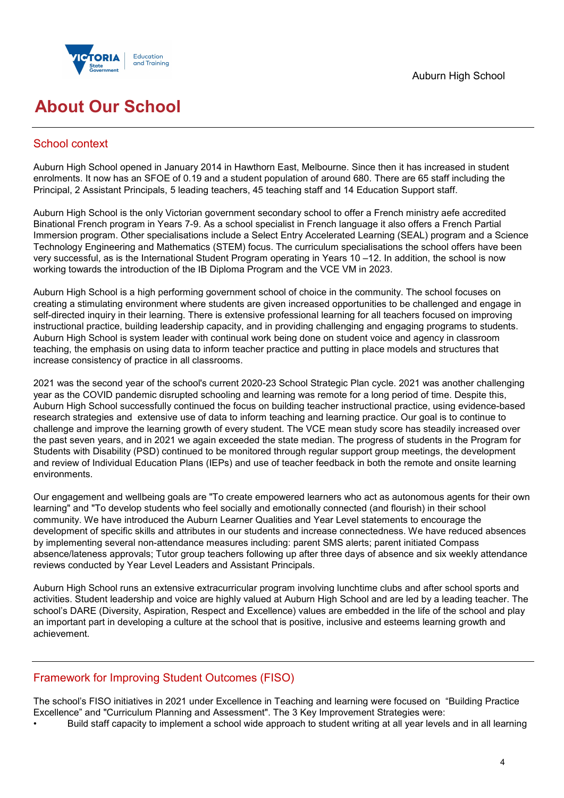

# **About Our School**

## School context

Auburn High School opened in January 2014 in Hawthorn East, Melbourne. Since then it has increased in student enrolments. It now has an SFOE of 0.19 and a student population of around 680. There are 65 staff including the Principal, 2 Assistant Principals, 5 leading teachers, 45 teaching staff and 14 Education Support staff.

Auburn High School is the only Victorian government secondary school to offer a French ministry aefe accredited Binational French program in Years 7-9. As a school specialist in French language it also offers a French Partial Immersion program. Other specialisations include a Select Entry Accelerated Learning (SEAL) program and a Science Technology Engineering and Mathematics (STEM) focus. The curriculum specialisations the school offers have been very successful, as is the International Student Program operating in Years 10 –12. In addition, the school is now working towards the introduction of the IB Diploma Program and the VCE VM in 2023.

Auburn High School is a high performing government school of choice in the community. The school focuses on creating a stimulating environment where students are given increased opportunities to be challenged and engage in self-directed inquiry in their learning. There is extensive professional learning for all teachers focused on improving instructional practice, building leadership capacity, and in providing challenging and engaging programs to students. Auburn High School is system leader with continual work being done on student voice and agency in classroom teaching, the emphasis on using data to inform teacher practice and putting in place models and structures that increase consistency of practice in all classrooms.

2021 was the second year of the school's current 2020-23 School Strategic Plan cycle. 2021 was another challenging year as the COVID pandemic disrupted schooling and learning was remote for a long period of time. Despite this, Auburn High School successfully continued the focus on building teacher instructional practice, using evidence-based research strategies and extensive use of data to inform teaching and learning practice. Our goal is to continue to challenge and improve the learning growth of every student. The VCE mean study score has steadily increased over the past seven years, and in 2021 we again exceeded the state median. The progress of students in the Program for Students with Disability (PSD) continued to be monitored through regular support group meetings, the development and review of Individual Education Plans (IEPs) and use of teacher feedback in both the remote and onsite learning environments.

Our engagement and wellbeing goals are "To create empowered learners who act as autonomous agents for their own learning" and "To develop students who feel socially and emotionally connected (and flourish) in their school community. We have introduced the Auburn Learner Qualities and Year Level statements to encourage the development of specific skills and attributes in our students and increase connectedness. We have reduced absences by implementing several non-attendance measures including: parent SMS alerts; parent initiated Compass absence/lateness approvals; Tutor group teachers following up after three days of absence and six weekly attendance reviews conducted by Year Level Leaders and Assistant Principals.

Auburn High School runs an extensive extracurricular program involving lunchtime clubs and after school sports and activities. Student leadership and voice are highly valued at Auburn High School and are led by a leading teacher. The school's DARE (Diversity, Aspiration, Respect and Excellence) values are embedded in the life of the school and play an important part in developing a culture at the school that is positive, inclusive and esteems learning growth and achievement.

## Framework for Improving Student Outcomes (FISO)

The school's FISO initiatives in 2021 under Excellence in Teaching and learning were focused on "Building Practice Excellence" and "Curriculum Planning and Assessment". The 3 Key Improvement Strategies were:

• Build staff capacity to implement a school wide approach to student writing at all year levels and in all learning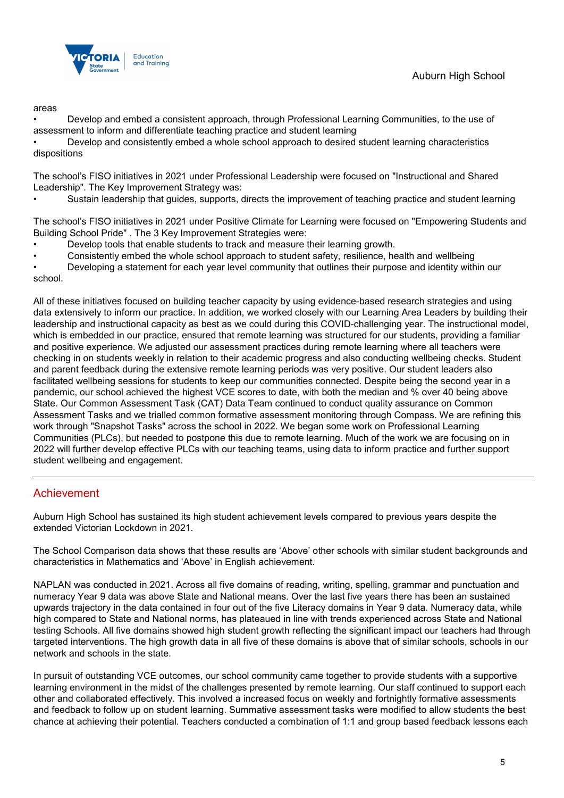

#### areas

• Develop and embed a consistent approach, through Professional Learning Communities, to the use of assessment to inform and differentiate teaching practice and student learning

• Develop and consistently embed a whole school approach to desired student learning characteristics dispositions

The school's FISO initiatives in 2021 under Professional Leadership were focused on "Instructional and Shared Leadership". The Key Improvement Strategy was:

• Sustain leadership that guides, supports, directs the improvement of teaching practice and student learning

The school's FISO initiatives in 2021 under Positive Climate for Learning were focused on "Empowering Students and Building School Pride" . The 3 Key Improvement Strategies were:

- Develop tools that enable students to track and measure their learning growth.
- Consistently embed the whole school approach to student safety, resilience, health and wellbeing

• Developing a statement for each year level community that outlines their purpose and identity within our school.

All of these initiatives focused on building teacher capacity by using evidence-based research strategies and using data extensively to inform our practice. In addition, we worked closely with our Learning Area Leaders by building their leadership and instructional capacity as best as we could during this COVID-challenging year. The instructional model, which is embedded in our practice, ensured that remote learning was structured for our students, providing a familiar and positive experience. We adjusted our assessment practices during remote learning where all teachers were checking in on students weekly in relation to their academic progress and also conducting wellbeing checks. Student and parent feedback during the extensive remote learning periods was very positive. Our student leaders also facilitated wellbeing sessions for students to keep our communities connected. Despite being the second year in a pandemic, our school achieved the highest VCE scores to date, with both the median and % over 40 being above State. Our Common Assessment Task (CAT) Data Team continued to conduct quality assurance on Common Assessment Tasks and we trialled common formative assessment monitoring through Compass. We are refining this work through "Snapshot Tasks" across the school in 2022. We began some work on Professional Learning Communities (PLCs), but needed to postpone this due to remote learning. Much of the work we are focusing on in 2022 will further develop effective PLCs with our teaching teams, using data to inform practice and further support student wellbeing and engagement.

### Achievement

Auburn High School has sustained its high student achievement levels compared to previous years despite the extended Victorian Lockdown in 2021.

The School Comparison data shows that these results are 'Above' other schools with similar student backgrounds and characteristics in Mathematics and 'Above' in English achievement.

NAPLAN was conducted in 2021. Across all five domains of reading, writing, spelling, grammar and punctuation and numeracy Year 9 data was above State and National means. Over the last five years there has been an sustained upwards trajectory in the data contained in four out of the five Literacy domains in Year 9 data. Numeracy data, while high compared to State and National norms, has plateaued in line with trends experienced across State and National testing Schools. All five domains showed high student growth reflecting the significant impact our teachers had through targeted interventions. The high growth data in all five of these domains is above that of similar schools, schools in our network and schools in the state.

In pursuit of outstanding VCE outcomes, our school community came together to provide students with a supportive learning environment in the midst of the challenges presented by remote learning. Our staff continued to support each other and collaborated effectively. This involved a increased focus on weekly and fortnightly formative assessments and feedback to follow up on student learning. Summative assessment tasks were modified to allow students the best chance at achieving their potential. Teachers conducted a combination of 1:1 and group based feedback lessons each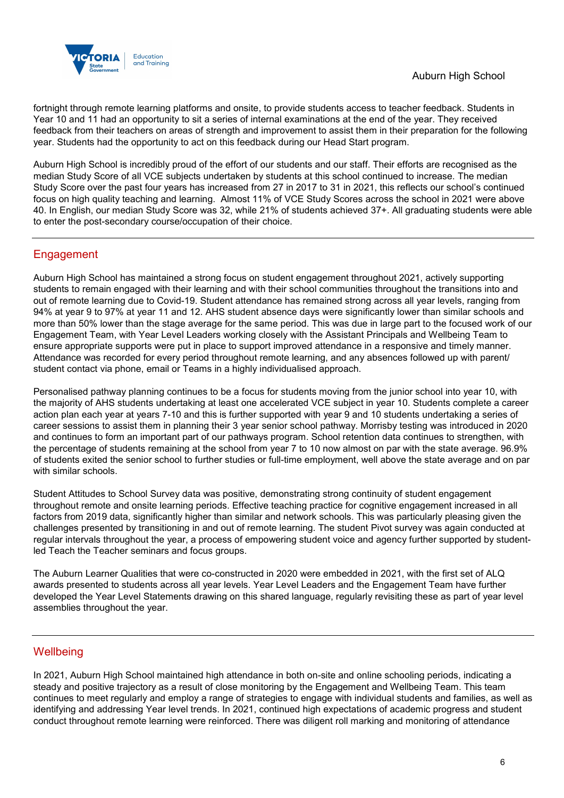

fortnight through remote learning platforms and onsite, to provide students access to teacher feedback. Students in Year 10 and 11 had an opportunity to sit a series of internal examinations at the end of the year. They received feedback from their teachers on areas of strength and improvement to assist them in their preparation for the following year. Students had the opportunity to act on this feedback during our Head Start program.

Auburn High School is incredibly proud of the effort of our students and our staff. Their efforts are recognised as the median Study Score of all VCE subjects undertaken by students at this school continued to increase. The median Study Score over the past four years has increased from 27 in 2017 to 31 in 2021, this reflects our school's continued focus on high quality teaching and learning. Almost 11% of VCE Study Scores across the school in 2021 were above 40. In English, our median Study Score was 32, while 21% of students achieved 37+. All graduating students were able to enter the post-secondary course/occupation of their choice.

## **Engagement**

Auburn High School has maintained a strong focus on student engagement throughout 2021, actively supporting students to remain engaged with their learning and with their school communities throughout the transitions into and out of remote learning due to Covid-19. Student attendance has remained strong across all year levels, ranging from 94% at year 9 to 97% at year 11 and 12. AHS student absence days were significantly lower than similar schools and more than 50% lower than the stage average for the same period. This was due in large part to the focused work of our Engagement Team, with Year Level Leaders working closely with the Assistant Principals and Wellbeing Team to ensure appropriate supports were put in place to support improved attendance in a responsive and timely manner. Attendance was recorded for every period throughout remote learning, and any absences followed up with parent/ student contact via phone, email or Teams in a highly individualised approach.

Personalised pathway planning continues to be a focus for students moving from the junior school into year 10, with the majority of AHS students undertaking at least one accelerated VCE subject in year 10. Students complete a career action plan each year at years 7-10 and this is further supported with year 9 and 10 students undertaking a series of career sessions to assist them in planning their 3 year senior school pathway. Morrisby testing was introduced in 2020 and continues to form an important part of our pathways program. School retention data continues to strengthen, with the percentage of students remaining at the school from year 7 to 10 now almost on par with the state average. 96.9% of students exited the senior school to further studies or full-time employment, well above the state average and on par with similar schools.

Student Attitudes to School Survey data was positive, demonstrating strong continuity of student engagement throughout remote and onsite learning periods. Effective teaching practice for cognitive engagement increased in all factors from 2019 data, significantly higher than similar and network schools. This was particularly pleasing given the challenges presented by transitioning in and out of remote learning. The student Pivot survey was again conducted at regular intervals throughout the year, a process of empowering student voice and agency further supported by studentled Teach the Teacher seminars and focus groups.

The Auburn Learner Qualities that were co-constructed in 2020 were embedded in 2021, with the first set of ALQ awards presented to students across all year levels. Year Level Leaders and the Engagement Team have further developed the Year Level Statements drawing on this shared language, regularly revisiting these as part of year level assemblies throughout the year.

## **Wellbeing**

In 2021, Auburn High School maintained high attendance in both on-site and online schooling periods, indicating a steady and positive trajectory as a result of close monitoring by the Engagement and Wellbeing Team. This team continues to meet regularly and employ a range of strategies to engage with individual students and families, as well as identifying and addressing Year level trends. In 2021, continued high expectations of academic progress and student conduct throughout remote learning were reinforced. There was diligent roll marking and monitoring of attendance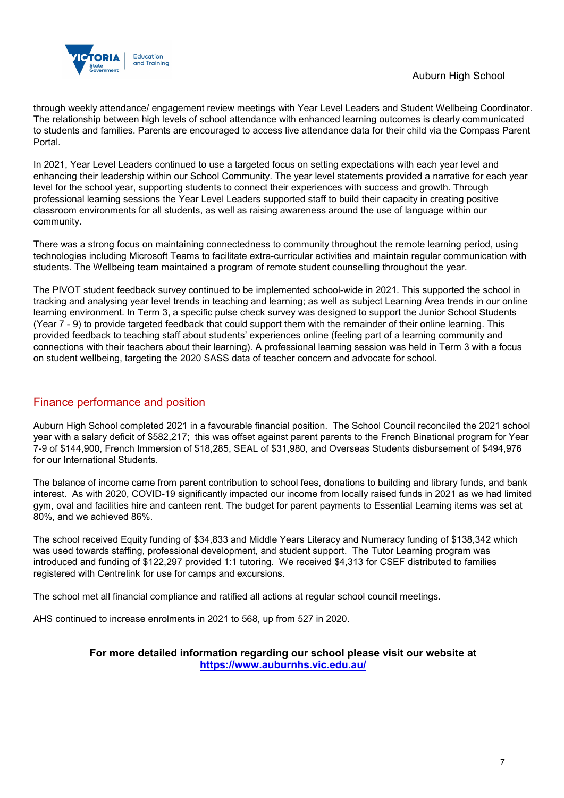

through weekly attendance/ engagement review meetings with Year Level Leaders and Student Wellbeing Coordinator. The relationship between high levels of school attendance with enhanced learning outcomes is clearly communicated to students and families. Parents are encouraged to access live attendance data for their child via the Compass Parent Portal.

In 2021, Year Level Leaders continued to use a targeted focus on setting expectations with each year level and enhancing their leadership within our School Community. The year level statements provided a narrative for each year level for the school year, supporting students to connect their experiences with success and growth. Through professional learning sessions the Year Level Leaders supported staff to build their capacity in creating positive classroom environments for all students, as well as raising awareness around the use of language within our community.

There was a strong focus on maintaining connectedness to community throughout the remote learning period, using technologies including Microsoft Teams to facilitate extra-curricular activities and maintain regular communication with students. The Wellbeing team maintained a program of remote student counselling throughout the year.

The PIVOT student feedback survey continued to be implemented school-wide in 2021. This supported the school in tracking and analysing year level trends in teaching and learning; as well as subject Learning Area trends in our online learning environment. In Term 3, a specific pulse check survey was designed to support the Junior School Students (Year 7 - 9) to provide targeted feedback that could support them with the remainder of their online learning. This provided feedback to teaching staff about students' experiences online (feeling part of a learning community and connections with their teachers about their learning). A professional learning session was held in Term 3 with a focus on student wellbeing, targeting the 2020 SASS data of teacher concern and advocate for school.

## Finance performance and position

Auburn High School completed 2021 in a favourable financial position. The School Council reconciled the 2021 school year with a salary deficit of \$582,217; this was offset against parent parents to the French Binational program for Year 7-9 of \$144,900, French Immersion of \$18,285, SEAL of \$31,980, and Overseas Students disbursement of \$494,976 for our International Students.

The balance of income came from parent contribution to school fees, donations to building and library funds, and bank interest. As with 2020, COVID-19 significantly impacted our income from locally raised funds in 2021 as we had limited gym, oval and facilities hire and canteen rent. The budget for parent payments to Essential Learning items was set at 80%, and we achieved 86%.

The school received Equity funding of \$34,833 and Middle Years Literacy and Numeracy funding of \$138,342 which was used towards staffing, professional development, and student support. The Tutor Learning program was introduced and funding of \$122,297 provided 1:1 tutoring. We received \$4,313 for CSEF distributed to families registered with Centrelink for use for camps and excursions.

The school met all financial compliance and ratified all actions at regular school council meetings.

AHS continued to increase enrolments in 2021 to 568, up from 527 in 2020.

### **For more detailed information regarding our school please visit our website at <https://www.auburnhs.vic.edu.au/>**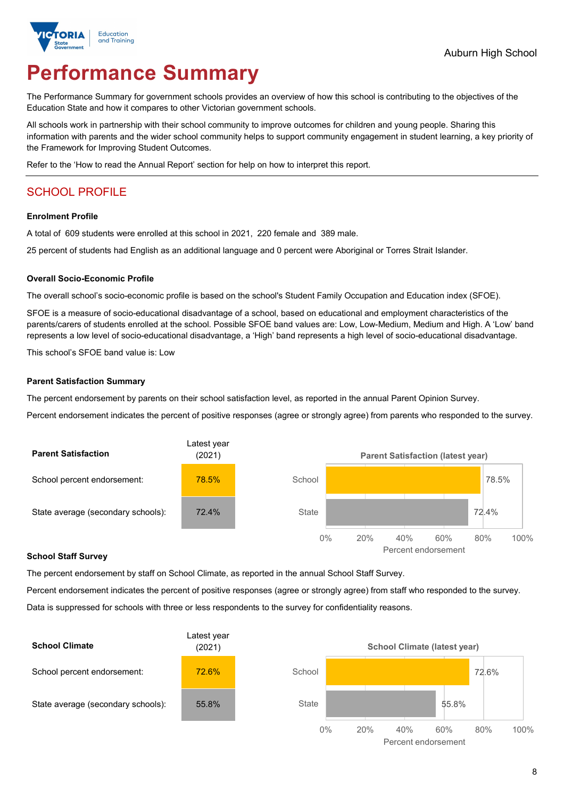

# **Performance Summary**

The Performance Summary for government schools provides an overview of how this school is contributing to the objectives of the Education State and how it compares to other Victorian government schools.

All schools work in partnership with their school community to improve outcomes for children and young people. Sharing this information with parents and the wider school community helps to support community engagement in student learning, a key priority of the Framework for Improving Student Outcomes.

Refer to the 'How to read the Annual Report' section for help on how to interpret this report.

## SCHOOL PROFILE

#### **Enrolment Profile**

A total of 609 students were enrolled at this school in 2021, 220 female and 389 male.

25 percent of students had English as an additional language and 0 percent were Aboriginal or Torres Strait Islander.

#### **Overall Socio-Economic Profile**

The overall school's socio-economic profile is based on the school's Student Family Occupation and Education index (SFOE).

SFOE is a measure of socio-educational disadvantage of a school, based on educational and employment characteristics of the parents/carers of students enrolled at the school. Possible SFOE band values are: Low, Low-Medium, Medium and High. A 'Low' band represents a low level of socio-educational disadvantage, a 'High' band represents a high level of socio-educational disadvantage.

This school's SFOE band value is: Low

#### **Parent Satisfaction Summary**

The percent endorsement by parents on their school satisfaction level, as reported in the annual Parent Opinion Survey.

Percent endorsement indicates the percent of positive responses (agree or strongly agree) from parents who responded to the survey.



#### **School Staff Survey**

The percent endorsement by staff on School Climate, as reported in the annual School Staff Survey.

Percent endorsement indicates the percent of positive responses (agree or strongly agree) from staff who responded to the survey. Data is suppressed for schools with three or less respondents to the survey for confidentiality reasons.

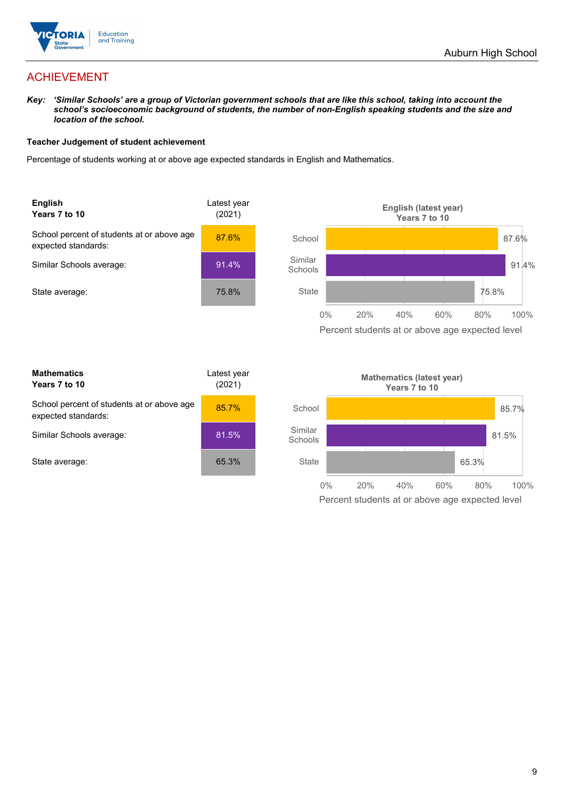

## ACHIEVEMENT

*Key: 'Similar Schools' are a group of Victorian government schools that are like this school, taking into account the school's socioeconomic background of students, the number of non-English speaking students and the size and location of the school.*

#### **Teacher Judgement of student achievement**

Percentage of students working at or above age expected standards in English and Mathematics.



| <b>Mathematics</b><br>Years 7 to 10                               | Latest year<br>(2021) |
|-------------------------------------------------------------------|-----------------------|
| School percent of students at or above age<br>expected standards: | 85.7%                 |
| Similar Schools average:                                          | 81.5%                 |
| State average:                                                    | 65.3%                 |

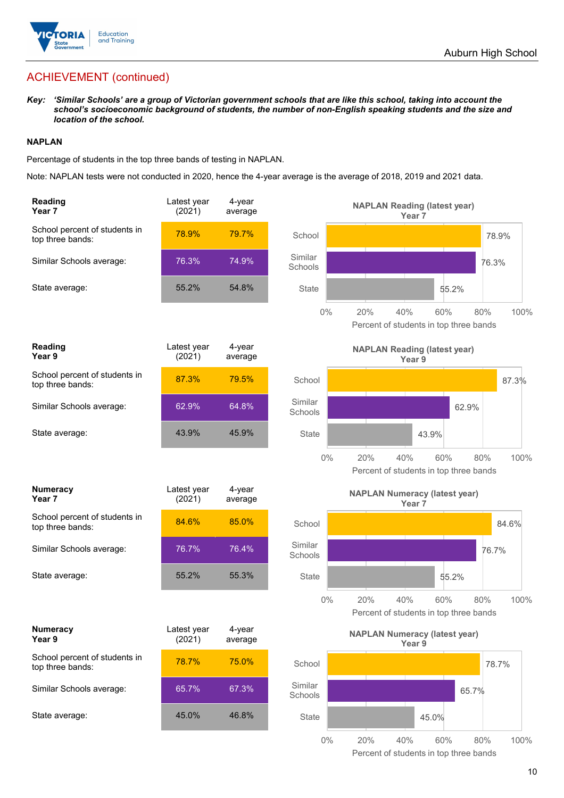

# ACHIEVEMENT (continued)

*Key: 'Similar Schools' are a group of Victorian government schools that are like this school, taking into account the school's socioeconomic background of students, the number of non-English speaking students and the size and location of the school.*

#### **NAPLAN**

Percentage of students in the top three bands of testing in NAPLAN.

Note: NAPLAN tests were not conducted in 2020, hence the 4-year average is the average of 2018, 2019 and 2021 data.

| Reading<br>Year 7                                 | Latest year<br>(2021) | 4-year<br>average |                    | <b>NAPLAN Reading (latest year)</b><br>Year <sub>7</sub>    |             |
|---------------------------------------------------|-----------------------|-------------------|--------------------|-------------------------------------------------------------|-------------|
| School percent of students in<br>top three bands: | 78.9%                 | 79.7%             | School             |                                                             | 78.9%       |
| Similar Schools average:                          | 76.3%                 | 74.9%             | Similar<br>Schools |                                                             | 76.3%       |
| State average:                                    | 55.2%                 | 54.8%             | State              | 55.2%                                                       |             |
|                                                   |                       |                   | $0\%$              | 20%<br>40%<br>60%<br>Percent of students in top three bands | 100%<br>80% |
| Reading<br>Year 9                                 | Latest year<br>(2021) | 4-year<br>average |                    | <b>NAPLAN Reading (latest year)</b><br>Year 9               |             |
| School percent of students in<br>top three bands: | 87.3%                 | 79.5%             | School             |                                                             | 87.3%       |
| Similar Schools average:                          | 62.9%                 | 64.8%             | Similar<br>Schools | 62.9%                                                       |             |
| State average:                                    | 43.9%                 | 45.9%             | State              | 43.9%                                                       |             |
|                                                   |                       |                   | $0\%$              | 20%<br>40%<br>60%<br>Percent of students in top three bands | 100%<br>80% |
| Numeracy<br>Year 7                                | Latest year<br>(2021) | 4-year<br>average |                    | <b>NAPLAN Numeracy (latest year)</b><br>Year <sub>7</sub>   |             |
| School percent of students in<br>top three bands: | 84.6%                 | 85.0%             | School             |                                                             | 84.6%       |
| Similar Schools average:                          | 76.7%                 | 76.4%             | Similar<br>Schools |                                                             | 76.7%       |
| State average:                                    | 55.2%                 | 55.3%             | <b>State</b>       | 55.2%                                                       |             |
|                                                   |                       |                   | 0%                 | 40%<br>20%<br>60%<br>Percent of students in top three bands | 80%<br>100% |
| Numeracy<br>Year 9                                | Latest year<br>(2021) | 4-year<br>average |                    | <b>NAPLAN Numeracy (latest year)</b><br>Year 9              |             |
| School percent of students in<br>top three bands: | 78.7%                 | 75.0%             | School             |                                                             | 78.7%       |
| Similar Schools average:                          | 65.7%                 | 67.3%             | Similar<br>Schools |                                                             | 65.7%       |
| State average:                                    | 45.0%                 | 46.8%             | State              | 45.0%                                                       |             |
|                                                   |                       |                   | 0%                 | 20%<br>40%<br>60%                                           | 80%<br>100% |

Percent of students in top three bands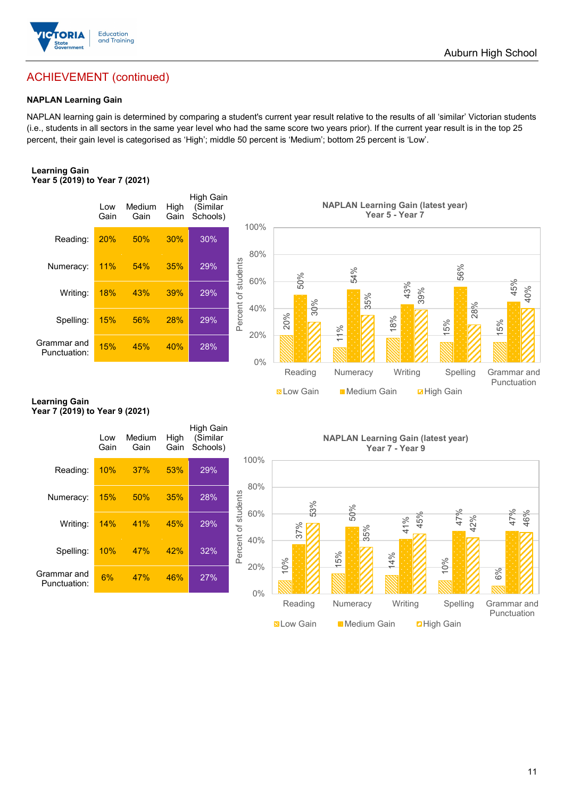

## ACHIEVEMENT (continued)

#### **NAPLAN Learning Gain**

NAPLAN learning gain is determined by comparing a student's current year result relative to the results of all 'similar' Victorian students (i.e., students in all sectors in the same year level who had the same score two years prior). If the current year result is in the top 25 percent, their gain level is categorised as 'High'; middle 50 percent is 'Medium'; bottom 25 percent is 'Low'.

#### **Learning Gain Year 5 (2019) to Year 7 (2021)**



#### **Learning Gain Year 7 (2019) to Year 9 (2021)**

|                             | Low<br>Gain | Medium<br>Gain | High<br>Gain | High Gain<br>(Similar<br>Schools) |                            |
|-----------------------------|-------------|----------------|--------------|-----------------------------------|----------------------------|
| Reading:                    | 10%         | 37%            | 53%          | 29%                               | 100%                       |
| Numeracy:                   | 15%         | 50%            | 35%          | 28%                               | 80%                        |
| Writing:                    | 14%         | 41%            | 45%          | 29%                               | Percent of students<br>60% |
| Spelling:                   | 10%         | 47%            | 42%          | 32%                               | 40%                        |
| Grammar and<br>Punctuation: | 6%          | 47%            | 46%          | 27%                               | 20%<br>$0\%$               |
|                             |             |                |              |                                   |                            |

**NAPLAN Learning Gain (latest year) Year 7 - Year 9**

**Now Gain** Medium Gain **Election** Gain

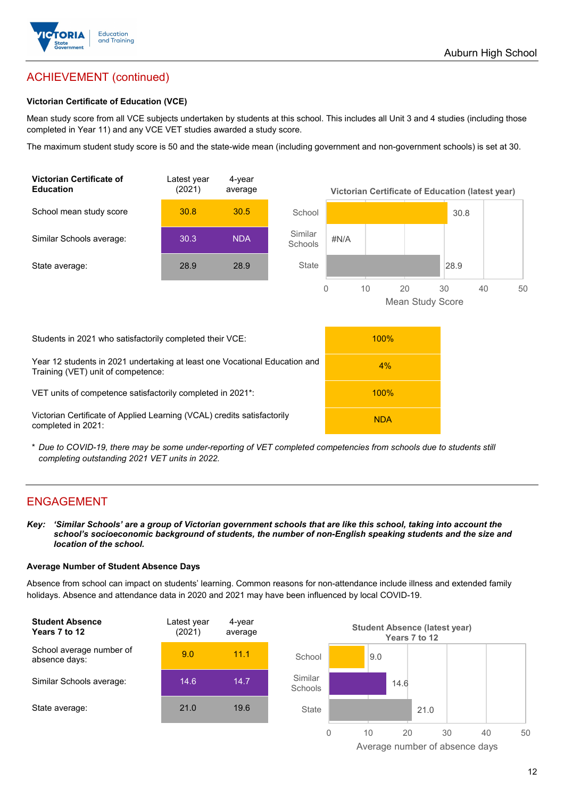

## ACHIEVEMENT (continued)

#### **Victorian Certificate of Education (VCE)**

Mean study score from all VCE subjects undertaken by students at this school. This includes all Unit 3 and 4 studies (including those completed in Year 11) and any VCE VET studies awarded a study score.

The maximum student study score is 50 and the state-wide mean (including government and non-government schools) is set at 30.



\* *Due to COVID-19, there may be some under-reporting of VET completed competencies from schools due to students still completing outstanding 2021 VET units in 2022.*

### ENGAGEMENT

*Key: 'Similar Schools' are a group of Victorian government schools that are like this school, taking into account the school's socioeconomic background of students, the number of non-English speaking students and the size and location of the school.*

#### **Average Number of Student Absence Days**

Absence from school can impact on students' learning. Common reasons for non-attendance include illness and extended family holidays. Absence and attendance data in 2020 and 2021 may have been influenced by local COVID-19.



Average number of absence days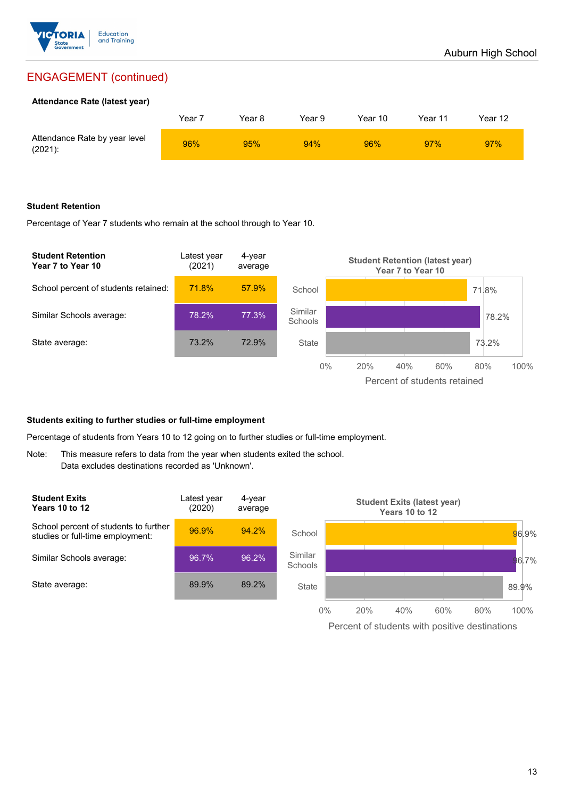

## ENGAGEMENT (continued)

#### **Attendance Rate (latest year)**

|                                             | Year i | Year 8 | Year 9 | Year 10 | Year 11 | Year 12 |
|---------------------------------------------|--------|--------|--------|---------|---------|---------|
| Attendance Rate by year level<br>$(2021)$ : | 96%    | 95%    | 94%    | 96%     | 97%     | 97%     |

#### **Student Retention**

Percentage of Year 7 students who remain at the school through to Year 10.



#### **Students exiting to further studies or full-time employment**

Percentage of students from Years 10 to 12 going on to further studies or full-time employment.

Note: This measure refers to data from the year when students exited the school. Data excludes destinations recorded as 'Unknown'.

| <b>Student Exits</b><br><b>Years 10 to 12</b>                             | Latest year<br>(2020) | 4-year<br>average |                    |       |     | Years 10 to 12 | <b>Student Exits (latest year)</b> |     |         |
|---------------------------------------------------------------------------|-----------------------|-------------------|--------------------|-------|-----|----------------|------------------------------------|-----|---------|
| School percent of students to further<br>studies or full-time employment: | 96.9%                 | 94.2%             | School             |       |     |                |                                    |     | 96.9%   |
| Similar Schools average:                                                  | 96.7%                 | 96.2%             | Similar<br>Schools |       |     |                |                                    |     | $6.7\%$ |
| State average:                                                            | 89.9%                 | 89.2%             | State              |       |     |                |                                    |     | 89.9%   |
|                                                                           |                       |                   |                    | $0\%$ | 20% | 40%            | 60%                                | 80% | 100%    |

Percent of students with positive destinations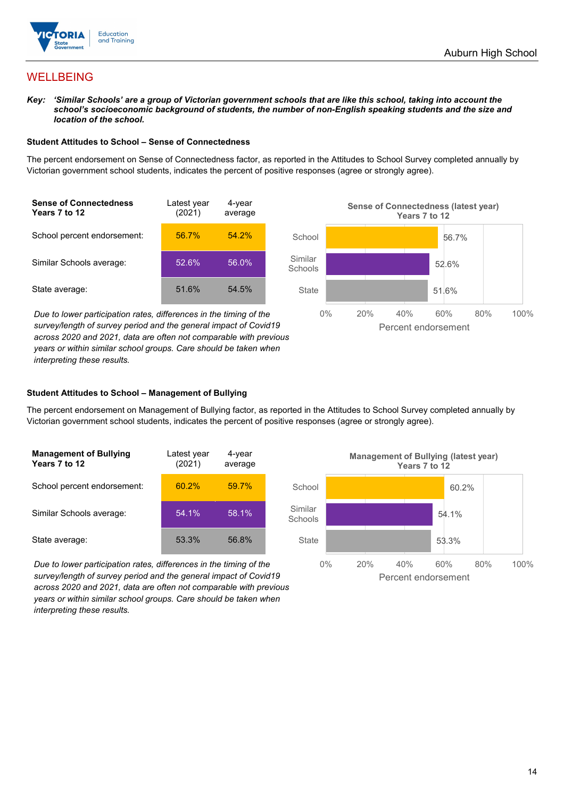

## **WELLBEING**

*Key: 'Similar Schools' are a group of Victorian government schools that are like this school, taking into account the school's socioeconomic background of students, the number of non-English speaking students and the size and location of the school.*

#### **Student Attitudes to School – Sense of Connectedness**

The percent endorsement on Sense of Connectedness factor, as reported in the Attitudes to School Survey completed annually by Victorian government school students, indicates the percent of positive responses (agree or strongly agree).



*Due to lower participation rates, differences in the timing of the survey/length of survey period and the general impact of Covid19 across 2020 and 2021, data are often not comparable with previous years or within similar school groups. Care should be taken when interpreting these results.*



#### **Student Attitudes to School – Management of Bullying**

The percent endorsement on Management of Bullying factor, as reported in the Attitudes to School Survey completed annually by Victorian government school students, indicates the percent of positive responses (agree or strongly agree).

| <b>Management of Bullying</b><br>Years 7 to 12 | Latest year<br>(2021) | 4-year<br>average |  |
|------------------------------------------------|-----------------------|-------------------|--|
| School percent endorsement:                    | $60.2\%$              | 59.7%             |  |
| Similar Schools average:                       | 54.1%                 | 58.1%             |  |
| State average:                                 | 53.3%                 | 56.8%             |  |

*Due to lower participation rates, differences in the timing of the survey/length of survey period and the general impact of Covid19 across 2020 and 2021, data are often not comparable with previous years or within similar school groups. Care should be taken when interpreting these results.*

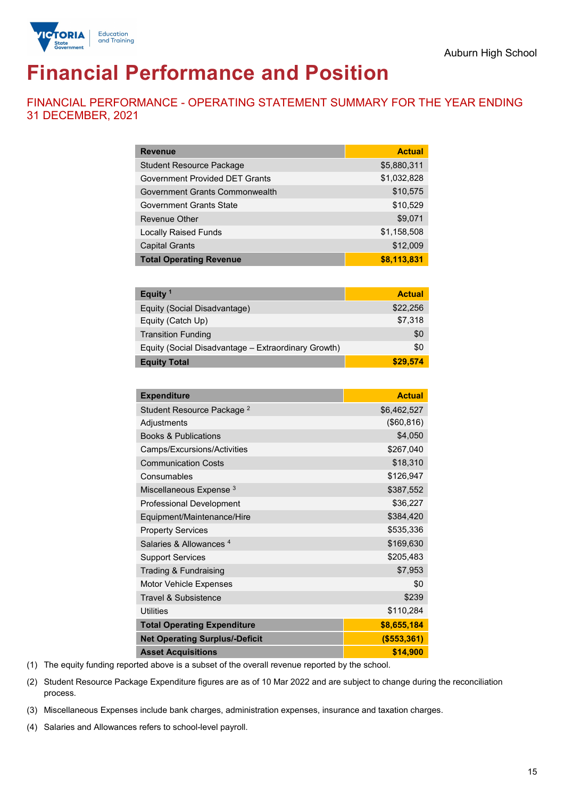

# **Financial Performance and Position**

FINANCIAL PERFORMANCE - OPERATING STATEMENT SUMMARY FOR THE YEAR ENDING 31 DECEMBER, 2021

| <b>Revenue</b>                        | <b>Actual</b> |
|---------------------------------------|---------------|
| <b>Student Resource Package</b>       | \$5,880,311   |
| <b>Government Provided DET Grants</b> | \$1,032,828   |
| Government Grants Commonwealth        | \$10,575      |
| Government Grants State               | \$10,529      |
| Revenue Other                         | \$9,071       |
| <b>Locally Raised Funds</b>           | \$1,158,508   |
| <b>Capital Grants</b>                 | \$12,009      |
| <b>Total Operating Revenue</b>        | \$8,113,831   |
|                                       |               |

| Equity <sup>1</sup>                                 | <b>Actual</b> |
|-----------------------------------------------------|---------------|
| Equity (Social Disadvantage)                        | \$22,256      |
| Equity (Catch Up)                                   | \$7,318       |
| <b>Transition Funding</b>                           | \$0           |
| Equity (Social Disadvantage - Extraordinary Growth) | \$0           |
| <b>Equity Total</b>                                 | \$29,574      |

| <b>Expenditure</b>                    | <b>Actual</b> |
|---------------------------------------|---------------|
| Student Resource Package <sup>2</sup> | \$6,462,527   |
| Adjustments                           | (\$60, 816)   |
| <b>Books &amp; Publications</b>       | \$4,050       |
| Camps/Excursions/Activities           | \$267,040     |
| <b>Communication Costs</b>            | \$18,310      |
| Consumables                           | \$126,947     |
| Miscellaneous Expense <sup>3</sup>    | \$387,552     |
| <b>Professional Development</b>       | \$36,227      |
| Equipment/Maintenance/Hire            | \$384,420     |
| <b>Property Services</b>              | \$535,336     |
| Salaries & Allowances <sup>4</sup>    | \$169,630     |
| <b>Support Services</b>               | \$205,483     |
| Trading & Fundraising                 | \$7,953       |
| <b>Motor Vehicle Expenses</b>         | \$0           |
| <b>Travel &amp; Subsistence</b>       | \$239         |
| <b>Utilities</b>                      | \$110,284     |
| <b>Total Operating Expenditure</b>    | \$8,655,184   |
| <b>Net Operating Surplus/-Deficit</b> | ( \$553, 361) |
| <b>Asset Acquisitions</b>             | \$14,900      |

(1) The equity funding reported above is a subset of the overall revenue reported by the school.

(2) Student Resource Package Expenditure figures are as of 10 Mar 2022 and are subject to change during the reconciliation process.

(3) Miscellaneous Expenses include bank charges, administration expenses, insurance and taxation charges.

(4) Salaries and Allowances refers to school-level payroll.